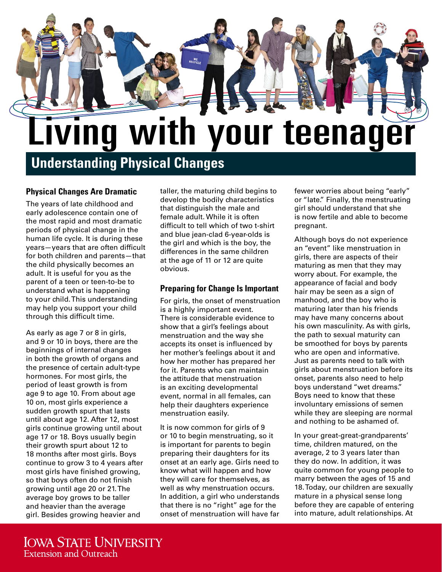

# **Understanding Physical Changes**

#### **Physical Changes Are Dramatic**

The years of late childhood and early adolescence contain one of the most rapid and most dramatic periods of physical change in the human life cycle. It is during these years—years that are often difficult for both children and parents—that the child physically becomes an adult. It is useful for you as the parent of a teen or teen-to-be to understand what is happening to your child. This understanding may help you support your child through this difficult time.

As early as age 7 or 8 in girls, and 9 or 10 in boys, there are the beginnings of internal changes in both the growth of organs and the presence of certain adult-type hormones. For most girls, the period of least growth is from age 9 to age 10. From about age 10 on, most girls experience a sudden growth spurt that lasts until about age 12. After 12, most girls continue growing until about age 17 or 18. Boys usually begin their growth spurt about 12 to 18 months after most girls. Boys continue to grow 3 to 4 years after most girls have finished growing, so that boys often do not finish growing until age 20 or 21. The average boy grows to be taller and heavier than the average girl. Besides growing heavier and

taller, the maturing child begins to develop the bodily characteristics that distinguish the male and female adult. While it is often difficult to tell which of two t-shirt and blue jean-clad 6-year-olds is the girl and which is the boy, the differences in the same children at the age of 11 or 12 are quite obvious.

# **Preparing for Change Is Important**

For girls, the onset of menstruation is a highly important event. There is considerable evidence to show that a girl's feelings about menstruation and the way she accepts its onset is influenced by her mother's feelings about it and how her mother has prepared her for it. Parents who can maintain the attitude that menstruation is an exciting developmental event, normal in all females, can help their daughters experience menstruation easily.

It is now common for girls of 9 or 10 to begin menstruating, so it is important for parents to begin preparing their daughters for its onset at an early age. Girls need to know what will happen and how they will care for themselves, as well as why menstruation occurs. In addition, a girl who understands that there is no "right" age for the onset of menstruation will have far fewer worries about being "early" or "late." Finally, the menstruating girl should understand that she is now fertile and able to become pregnant.

Although boys do not experience an "event" like menstruation in girls, there are aspects of their maturing as men that they may worry about. For example, the appearance of facial and body hair may be seen as a sign of manhood, and the boy who is maturing later than his friends may have many concerns about his own masculinity. As with girls, the path to sexual maturity can be smoothed for boys by parents who are open and informative. Just as parents need to talk with girls about menstruation before its onset, parents also need to help boys understand "wet dreams." Boys need to know that these involuntary emissions of semen while they are sleeping are normal and nothing to be ashamed of.

In your great-great-grandparents' time, children matured, on the average, 2 to 3 years later than they do now. In addition, it was quite common for young people to marry between the ages of 15 and 18. Today, our children are sexually mature in a physical sense long before they are capable of entering into mature, adult relationships. At